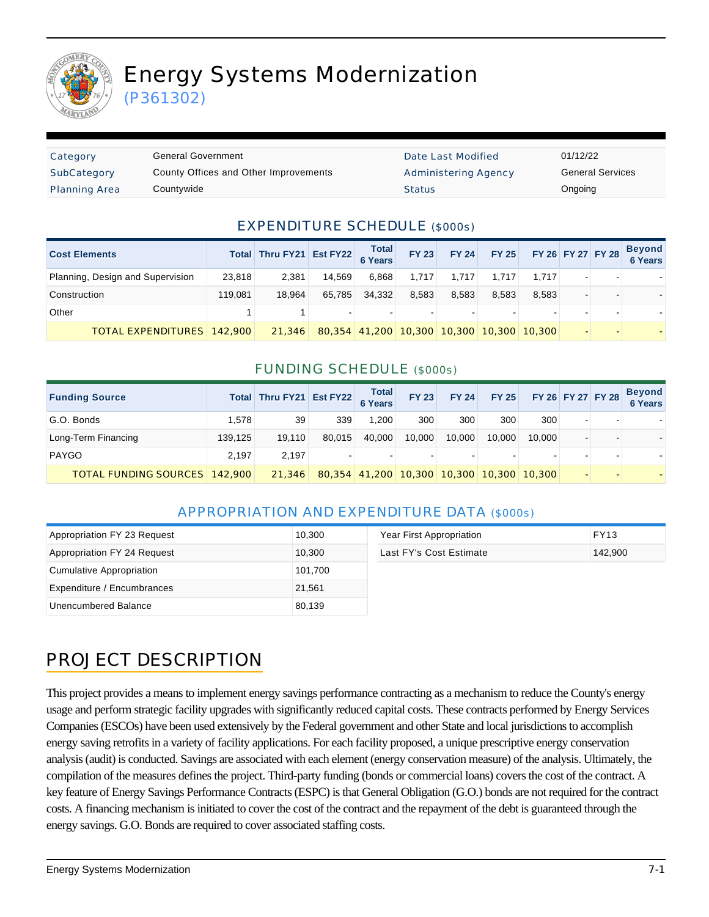

# Energy Systems Modernization

(P361302)

| Category             | General Government                    | Date Last Modified          | 01/12/22 |
|----------------------|---------------------------------------|-----------------------------|----------|
| SubCategory          | County Offices and Other Improvements | <b>Administering Agency</b> | General  |
| <b>Planning Area</b> | Countvwide                            | <b>Status</b>               | Ongoing  |

Date Last Modified 01/12/22 Administering Agency **General Services** 

#### EXPENDITURE SCHEDULE (\$000s)

| <b>Cost Elements</b>              |         | Total Thru FY21 Est FY22 |        | Total<br>6 Years | <b>FY 23</b>                | <b>FY 24</b> |                          | FY 25 FY 26 FY 27 FY 28 |  | <b>Beyond</b><br>6 Years |
|-----------------------------------|---------|--------------------------|--------|------------------|-----------------------------|--------------|--------------------------|-------------------------|--|--------------------------|
| Planning, Design and Supervision  | 23,818  | 2.381                    | 14.569 | 6.868            | 1.717                       | 1.717        | 1.717                    | 1.717                   |  |                          |
| Construction                      | 119.081 | 18.964                   | 65,785 | 34.332           | 8,583                       | 8.583        | 8.583                    | 8.583                   |  |                          |
| Other                             |         |                          |        |                  | $\sim$                      |              | $\overline{\phantom{a}}$ |                         |  |                          |
| <b>TOTAL EXPENDITURES 142,900</b> |         | 21,346                   |        |                  | 80,354 41,200 10,300 10,300 |              | 10,300 10,300            |                         |  |                          |

#### FUNDING SCHEDULE (\$000s)

| <b>Funding Source</b>                |         | Total Thru FY21 Est FY22 |        | <b>Total</b><br><b>6 Years</b> | <b>FY 23</b>   | <b>FY 24</b> | <b>FY 25</b>             | FY 26 FY 27 FY 28 |  | <b>Beyond</b><br>6 Years |
|--------------------------------------|---------|--------------------------|--------|--------------------------------|----------------|--------------|--------------------------|-------------------|--|--------------------------|
| G.O. Bonds                           | 1.578   | 39                       | 339    | 1.200                          | 300            | 300          | 300                      | 300               |  |                          |
| Long-Term Financing                  | 139.125 | 19,110                   | 80.015 | 40.000                         | 10.000         | 10.000       | 10.000                   | 10.000            |  |                          |
| PAYGO                                | 2.197   | 2.197                    |        |                                | $\blacksquare$ |              | $\overline{\phantom{a}}$ |                   |  |                          |
| <b>TOTAL FUNDING SOURCES 142,900</b> |         | 21,346                   |        | 80,354 41,200 10,300 10,300    |                |              | 10.300                   | 10,300            |  |                          |

#### APPROPRIATION AND EXPENDITURE DATA (\$000s)

| Appropriation FY 23 Request | 10,300  | Year First Appropriation | <b>FY13</b> |
|-----------------------------|---------|--------------------------|-------------|
| Appropriation FY 24 Request | 10,300  | Last FY's Cost Estimate  | 142.900     |
| Cumulative Appropriation    | 101,700 |                          |             |
| Expenditure / Encumbrances  | 21,561  |                          |             |
| Unencumbered Balance        | 80,139  |                          |             |

# PROJECT DESCRIPTION

This project provides a means to implement energy savings performance contracting as a mechanism to reduce the County's energy usage and perform strategic facility upgrades with significantly reduced capital costs. These contracts performed by Energy Services Companies (ESCOs) have been used extensively by the Federal government and other State and local jurisdictions to accomplish energy saving retrofits in a variety of facility applications. For each facility proposed, a unique prescriptive energy conservation analysis (audit) is conducted. Savings are associated with each element (energy conservation measure) of the analysis. Ultimately, the compilation of the measures defines the project. Third-party funding (bonds or commercial loans) covers the cost of the contract. A key feature of Energy Savings Performance Contracts (ESPC) is that General Obligation (G.O.) bonds are not required for the contract costs. A financing mechanism is initiated to cover the cost of the contract and the repayment of the debt is guaranteed through the energy savings. G.O. Bonds are required to cover associated staffing costs.